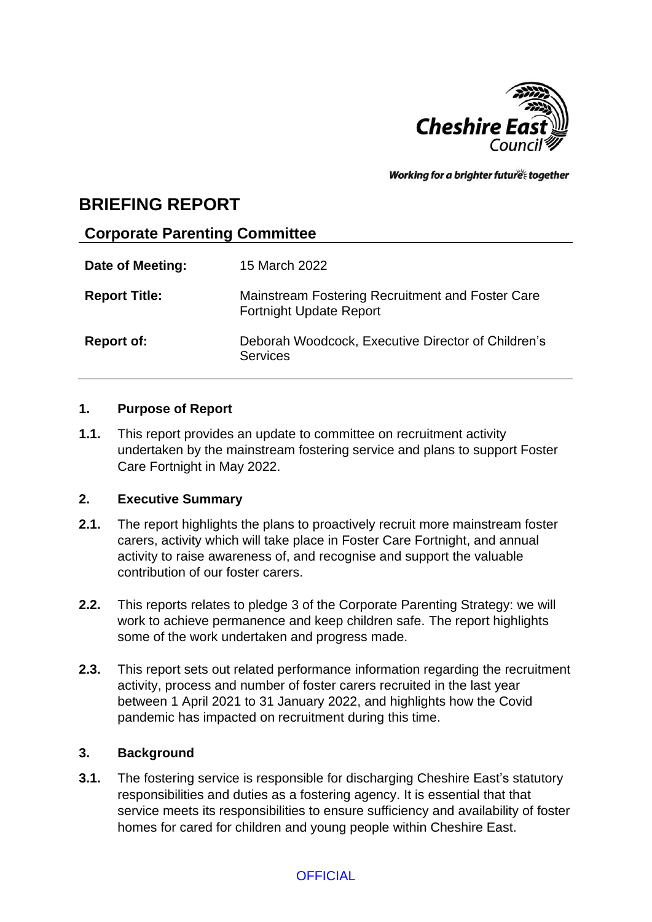

Working for a brighter futures together

# **BRIEFING REPORT**

# **Corporate Parenting Committee**

| Date of Meeting:     | 15 March 2022                                                                      |
|----------------------|------------------------------------------------------------------------------------|
| <b>Report Title:</b> | Mainstream Fostering Recruitment and Foster Care<br><b>Fortnight Update Report</b> |
| <b>Report of:</b>    | Deborah Woodcock, Executive Director of Children's<br><b>Services</b>              |

## **1. Purpose of Report**

**1.1.** This report provides an update to committee on recruitment activity undertaken by the mainstream fostering service and plans to support Foster Care Fortnight in May 2022.

# **2. Executive Summary**

- **2.1.** The report highlights the plans to proactively recruit more mainstream foster carers, activity which will take place in Foster Care Fortnight, and annual activity to raise awareness of, and recognise and support the valuable contribution of our foster carers.
- **2.2.** This reports relates to pledge 3 of the Corporate Parenting Strategy: we will work to achieve permanence and keep children safe. The report highlights some of the work undertaken and progress made.
- **2.3.** This report sets out related performance information regarding the recruitment activity, process and number of foster carers recruited in the last year between 1 April 2021 to 31 January 2022, and highlights how the Covid pandemic has impacted on recruitment during this time.

# **3. Background**

**3.1.** The fostering service is responsible for discharging Cheshire East's statutory responsibilities and duties as a fostering agency. It is essential that that service meets its responsibilities to ensure sufficiency and availability of foster homes for cared for children and young people within Cheshire East.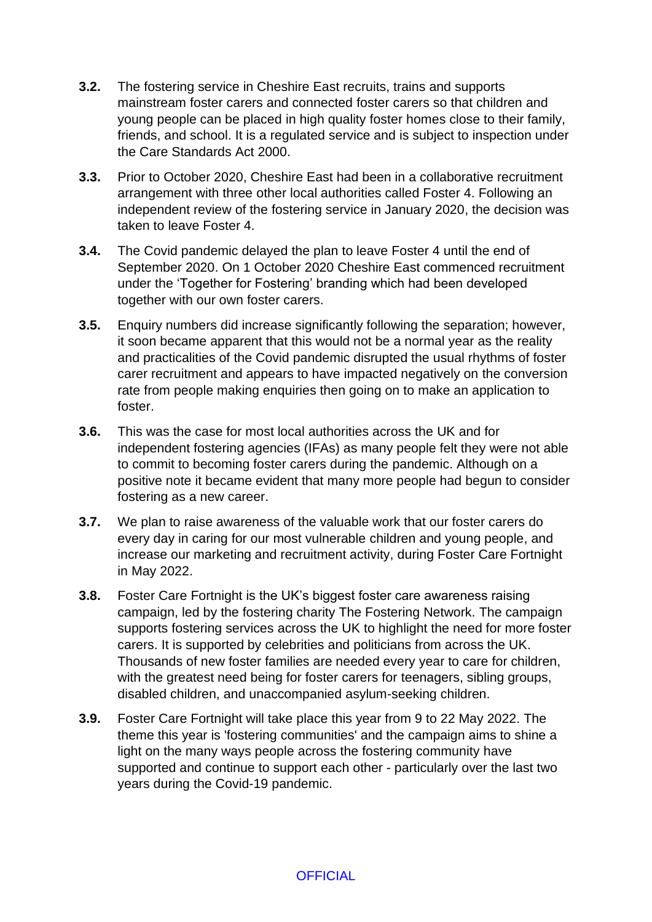- **3.2.** The fostering service in Cheshire East recruits, trains and supports mainstream foster carers and connected foster carers so that children and young people can be placed in high quality foster homes close to their family, friends, and school. It is a regulated service and is subject to inspection under the Care Standards Act 2000.
- **3.3.** Prior to October 2020, Cheshire East had been in a collaborative recruitment arrangement with three other local authorities called Foster 4. Following an independent review of the fostering service in January 2020, the decision was taken to leave Foster 4.
- **3.4.** The Covid pandemic delayed the plan to leave Foster 4 until the end of September 2020. On 1 October 2020 Cheshire East commenced recruitment under the 'Together for Fostering' branding which had been developed together with our own foster carers.
- **3.5.** Enquiry numbers did increase significantly following the separation: however, it soon became apparent that this would not be a normal year as the reality and practicalities of the Covid pandemic disrupted the usual rhythms of foster carer recruitment and appears to have impacted negatively on the conversion rate from people making enquiries then going on to make an application to foster.
- **3.6.** This was the case for most local authorities across the UK and for independent fostering agencies (IFAs) as many people felt they were not able to commit to becoming foster carers during the pandemic. Although on a positive note it became evident that many more people had begun to consider fostering as a new career.
- **3.7.** We plan to raise awareness of the valuable work that our foster carers do every day in caring for our most vulnerable children and young people, and increase our marketing and recruitment activity, during Foster Care Fortnight in May 2022.
- **3.8.** Foster Care Fortnight is the UK's biggest foster care awareness raising campaign, led by the fostering charity The Fostering Network. The campaign supports fostering services across the UK to highlight the need for more foster carers. It is supported by celebrities and politicians from across the UK. Thousands of new foster families are needed every year to care for children, with the greatest need being for foster carers for teenagers, sibling groups, disabled children, and unaccompanied asylum-seeking children.
- **3.9.** Foster Care Fortnight will take place this year from 9 to 22 May 2022. The theme this year is 'fostering communities' and the campaign aims to shine a light on the many ways people across the fostering community have supported and continue to support each other - particularly over the last two years during the Covid-19 pandemic.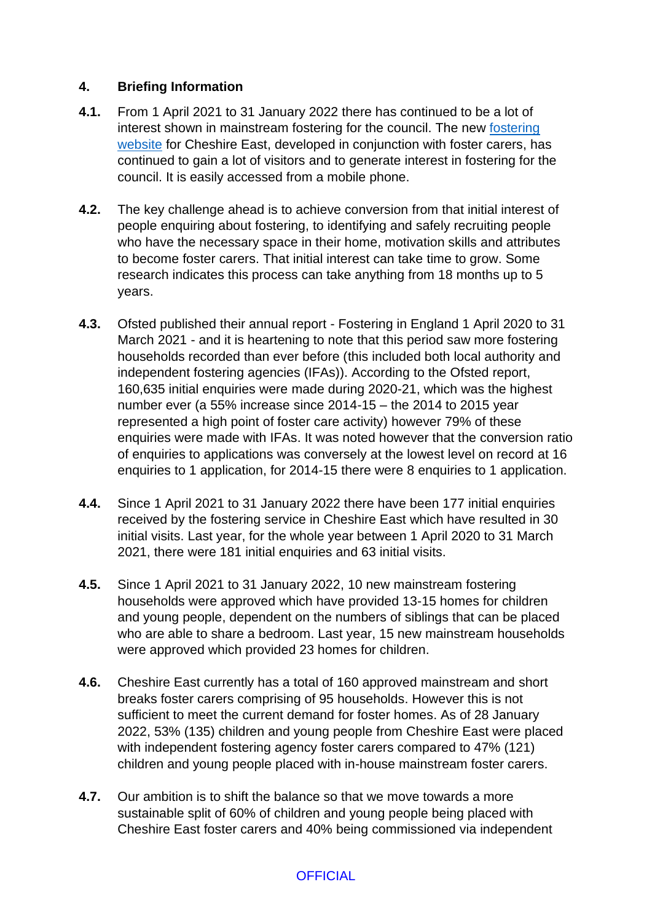## **4. Briefing Information**

- **4.1.** From 1 April 2021 to 31 January 2022 there has continued to be a lot of interest shown in mainstream fostering for the council. The new [fostering](https://www.cheshireeast.gov.uk/fostering/fostering.aspx)  [website](https://www.cheshireeast.gov.uk/fostering/fostering.aspx) for Cheshire East, developed in conjunction with foster carers, has continued to gain a lot of visitors and to generate interest in fostering for the council. It is easily accessed from a mobile phone.
- **4.2.** The key challenge ahead is to achieve conversion from that initial interest of people enquiring about fostering, to identifying and safely recruiting people who have the necessary space in their home, motivation skills and attributes to become foster carers. That initial interest can take time to grow. Some research indicates this process can take anything from 18 months up to 5 years.
- **4.3.** Ofsted published their annual report Fostering in England 1 April 2020 to 31 March 2021 - and it is heartening to note that this period saw more fostering households recorded than ever before (this included both local authority and independent fostering agencies (IFAs)). According to the Ofsted report, 160,635 initial enquiries were made during 2020-21, which was the highest number ever (a 55% increase since 2014-15 – the 2014 to 2015 year represented a high point of foster care activity) however 79% of these enquiries were made with IFAs. It was noted however that the conversion ratio of enquiries to applications was conversely at the lowest level on record at 16 enquiries to 1 application, for 2014-15 there were 8 enquiries to 1 application.
- **4.4.** Since 1 April 2021 to 31 January 2022 there have been 177 initial enquiries received by the fostering service in Cheshire East which have resulted in 30 initial visits. Last year, for the whole year between 1 April 2020 to 31 March 2021, there were 181 initial enquiries and 63 initial visits.
- **4.5.** Since 1 April 2021 to 31 January 2022, 10 new mainstream fostering households were approved which have provided 13-15 homes for children and young people, dependent on the numbers of siblings that can be placed who are able to share a bedroom. Last year, 15 new mainstream households were approved which provided 23 homes for children.
- **4.6.** Cheshire East currently has a total of 160 approved mainstream and short breaks foster carers comprising of 95 households. However this is not sufficient to meet the current demand for foster homes. As of 28 January 2022, 53% (135) children and young people from Cheshire East were placed with independent fostering agency foster carers compared to 47% (121) children and young people placed with in-house mainstream foster carers.
- **4.7.** Our ambition is to shift the balance so that we move towards a more sustainable split of 60% of children and young people being placed with Cheshire East foster carers and 40% being commissioned via independent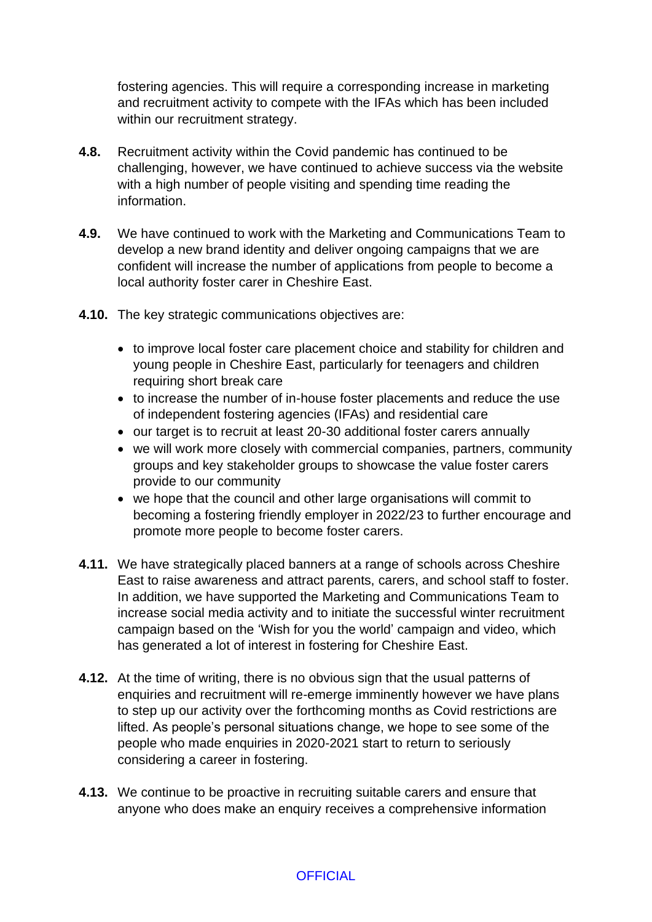fostering agencies. This will require a corresponding increase in marketing and recruitment activity to compete with the IFAs which has been included within our recruitment strategy.

- **4.8.** Recruitment activity within the Covid pandemic has continued to be challenging, however, we have continued to achieve success via the website with a high number of people visiting and spending time reading the information.
- **4.9.** We have continued to work with the Marketing and Communications Team to develop a new brand identity and deliver ongoing campaigns that we are confident will increase the number of applications from people to become a local authority foster carer in Cheshire East.
- **4.10.** The key strategic communications objectives are:
	- to improve local foster care placement choice and stability for children and young people in Cheshire East, particularly for teenagers and children requiring short break care
	- to increase the number of in-house foster placements and reduce the use of independent fostering agencies (IFAs) and residential care
	- our target is to recruit at least 20-30 additional foster carers annually
	- we will work more closely with commercial companies, partners, community groups and key stakeholder groups to showcase the value foster carers provide to our community
	- we hope that the council and other large organisations will commit to becoming a fostering friendly employer in 2022/23 to further encourage and promote more people to become foster carers.
- **4.11.** We have strategically placed banners at a range of schools across Cheshire East to raise awareness and attract parents, carers, and school staff to foster. In addition, we have supported the Marketing and Communications Team to increase social media activity and to initiate the successful winter recruitment campaign based on the 'Wish for you the world' campaign and video, which has generated a lot of interest in fostering for Cheshire East.
- **4.12.** At the time of writing, there is no obvious sign that the usual patterns of enquiries and recruitment will re-emerge imminently however we have plans to step up our activity over the forthcoming months as Covid restrictions are lifted. As people's personal situations change, we hope to see some of the people who made enquiries in 2020-2021 start to return to seriously considering a career in fostering.
- **4.13.** We continue to be proactive in recruiting suitable carers and ensure that anyone who does make an enquiry receives a comprehensive information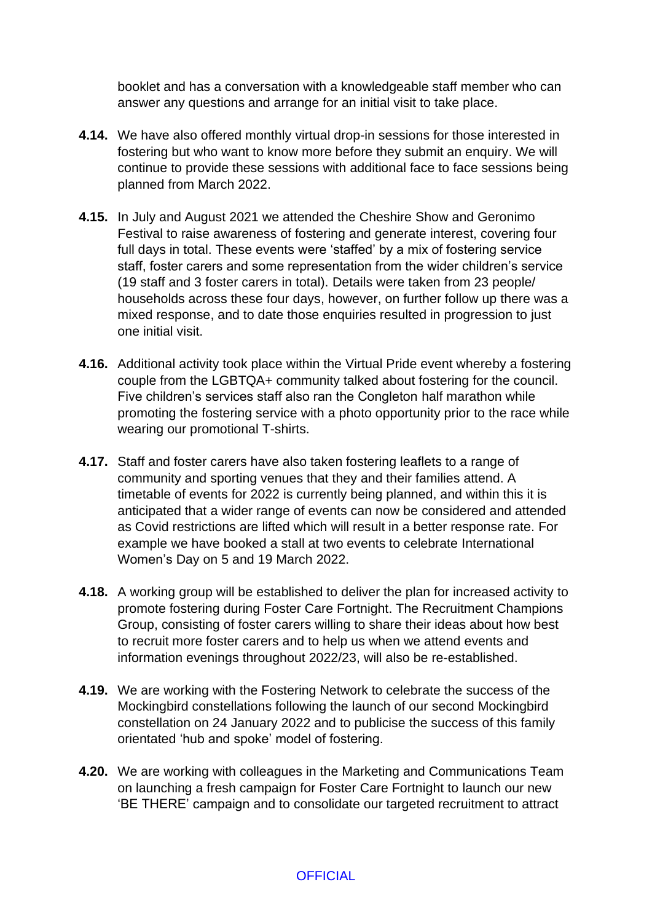booklet and has a conversation with a knowledgeable staff member who can answer any questions and arrange for an initial visit to take place.

- **4.14.** We have also offered monthly virtual drop-in sessions for those interested in fostering but who want to know more before they submit an enquiry. We will continue to provide these sessions with additional face to face sessions being planned from March 2022.
- **4.15.** In July and August 2021 we attended the Cheshire Show and Geronimo Festival to raise awareness of fostering and generate interest, covering four full days in total. These events were 'staffed' by a mix of fostering service staff, foster carers and some representation from the wider children's service (19 staff and 3 foster carers in total). Details were taken from 23 people/ households across these four days, however, on further follow up there was a mixed response, and to date those enquiries resulted in progression to just one initial visit.
- **4.16.** Additional activity took place within the Virtual Pride event whereby a fostering couple from the LGBTQA+ community talked about fostering for the council. Five children's services staff also ran the Congleton half marathon while promoting the fostering service with a photo opportunity prior to the race while wearing our promotional T-shirts.
- **4.17.** Staff and foster carers have also taken fostering leaflets to a range of community and sporting venues that they and their families attend. A timetable of events for 2022 is currently being planned, and within this it is anticipated that a wider range of events can now be considered and attended as Covid restrictions are lifted which will result in a better response rate. For example we have booked a stall at two events to celebrate International Women's Day on 5 and 19 March 2022.
- **4.18.** A working group will be established to deliver the plan for increased activity to promote fostering during Foster Care Fortnight. The Recruitment Champions Group, consisting of foster carers willing to share their ideas about how best to recruit more foster carers and to help us when we attend events and information evenings throughout 2022/23, will also be re-established.
- **4.19.** We are working with the Fostering Network to celebrate the success of the Mockingbird constellations following the launch of our second Mockingbird constellation on 24 January 2022 and to publicise the success of this family orientated 'hub and spoke' model of fostering.
- **4.20.** We are working with colleagues in the Marketing and Communications Team on launching a fresh campaign for Foster Care Fortnight to launch our new 'BE THERE' campaign and to consolidate our targeted recruitment to attract